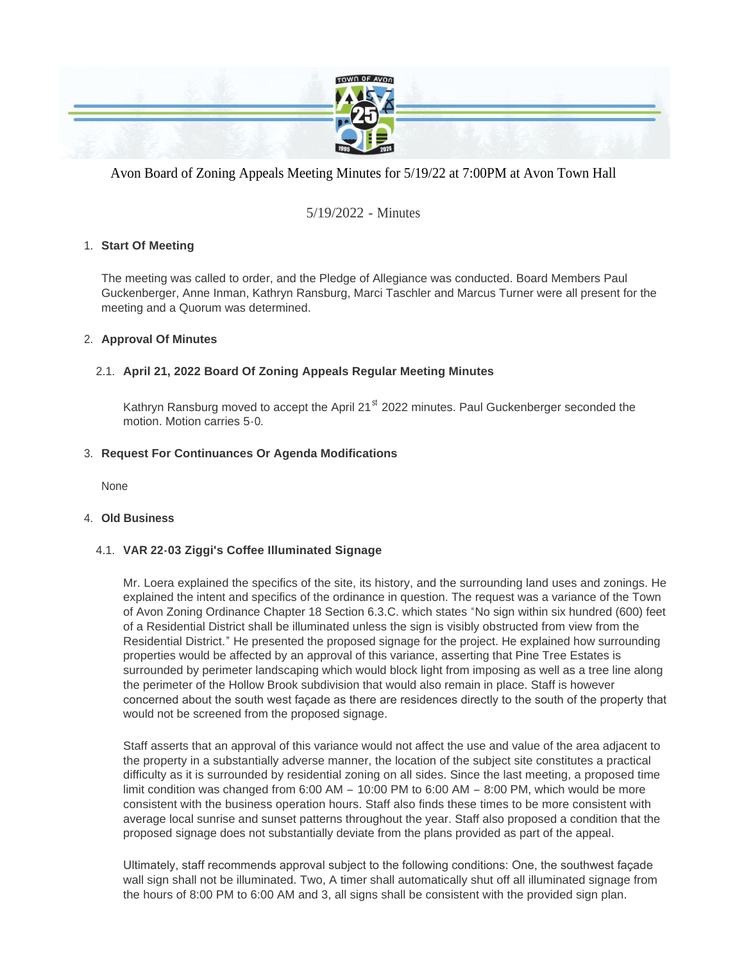

# Avon Board of Zoning Appeals Meeting Minutes for 5/19/22 at 7:00PM at Avon Town Hall

# 5/19/2022 - Minutes

# **Start Of Meeting** 1.

The meeting was called to order, and the Pledge of Allegiance was conducted. Board Members Paul Guckenberger, Anne Inman, Kathryn Ransburg, Marci Taschler and Marcus Turner were all present for the meeting and a Quorum was determined.

### **Approval Of Minutes** 2.

# **April 21, 2022 Board Of Zoning Appeals Regular Meeting Minutes** 2.1.

Kathryn Ransburg moved to accept the April 21 $\mathrm{^{st}}$  2022 minutes. Paul Guckenberger seconded the motion. Motion carries 5-0.

### **Request For Continuances Or Agenda Modifications** 3.

None

#### **Old Business** 4.

# **VAR 22-03 Ziggi's Coffee Illuminated Signage** 4.1.

Mr. Loera explained the specifics of the site, its history, and the surrounding land uses and zonings. He explained the intent and specifics of the ordinance in question. The request was a variance of the Town of Avon Zoning Ordinance Chapter 18 Section 6.3.C. which states "No sign within six hundred (600) feet of a Residential District shall be illuminated unless the sign is visibly obstructed from view from the Residential District." He presented the proposed signage for the project. He explained how surrounding properties would be affected by an approval of this variance, asserting that Pine Tree Estates is surrounded by perimeter landscaping which would block light from imposing as well as a tree line along the perimeter of the Hollow Brook subdivision that would also remain in place. Staff is however concerned about the south west façade as there are residences directly to the south of the property that would not be screened from the proposed signage.

Staff asserts that an approval of this variance would not affect the use and value of the area adjacent to the property in a substantially adverse manner, the location of the subject site constitutes a practical difficulty as it is surrounded by residential zoning on all sides. Since the last meeting, a proposed time limit condition was changed from 6:00 AM – 10:00 PM to 6:00 AM – 8:00 PM, which would be more consistent with the business operation hours. Staff also finds these times to be more consistent with average local sunrise and sunset patterns throughout the year. Staff also proposed a condition that the proposed signage does not substantially deviate from the plans provided as part of the appeal.

Ultimately, staff recommends approval subject to the following conditions: One, the southwest façade wall sign shall not be illuminated. Two, A timer shall automatically shut off all illuminated signage from the hours of 8:00 PM to 6:00 AM and 3, all signs shall be consistent with the provided sign plan.